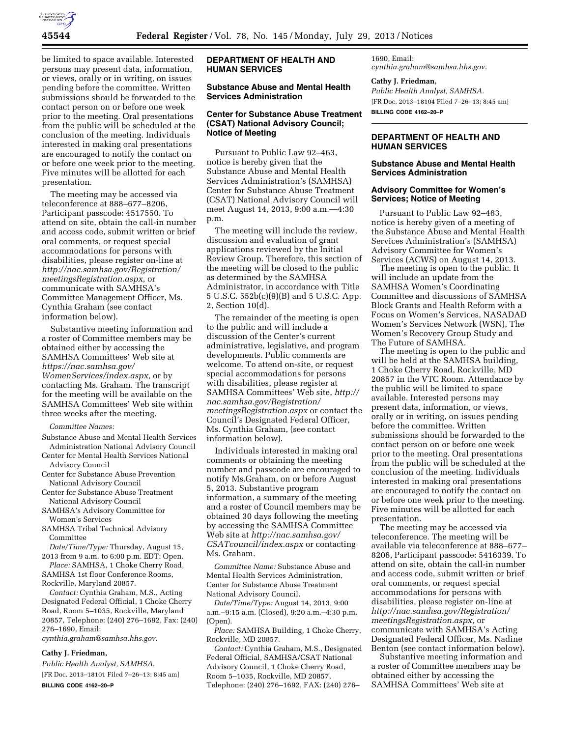

be limited to space available. Interested persons may present data, information, or views, orally or in writing, on issues pending before the committee. Written submissions should be forwarded to the contact person on or before one week prior to the meeting. Oral presentations from the public will be scheduled at the conclusion of the meeting. Individuals interested in making oral presentations are encouraged to notify the contact on or before one week prior to the meeting. Five minutes will be allotted for each presentation.

The meeting may be accessed via teleconference at 888–677–8206, Participant passcode: 4517550. To attend on site, obtain the call-in number and access code, submit written or brief oral comments, or request special accommodations for persons with disabilities, please register on-line at *[http://nac.samhsa.gov/Registration/](http://nac.samhsa.gov/Registration/meetingsRegistration.aspx)  [meetingsRegistration.aspx,](http://nac.samhsa.gov/Registration/meetingsRegistration.aspx)* or communicate with SAMHSA's Committee Management Officer, Ms. Cynthia Graham (see contact information below).

Substantive meeting information and a roster of Committee members may be obtained either by accessing the SAMHSA Committees' Web site at *[https://nac.samhsa.gov/](https://nac.samhsa.gov/WomenServices/index.aspx)  [WomenServices/index.aspx,](https://nac.samhsa.gov/WomenServices/index.aspx)* or by contacting Ms. Graham. The transcript for the meeting will be available on the SAMHSA Committees' Web site within three weeks after the meeting.

*Committee Names:* 

Substance Abuse and Mental Health Services Administration National Advisory Council

Center for Mental Health Services National Advisory Council

- Center for Substance Abuse Prevention National Advisory Council
- Center for Substance Abuse Treatment National Advisory Council
- SAMHSA's Advisory Committee for Women's Services
- SAMHSA Tribal Technical Advisory Committee

*Date/Time/Type:* Thursday, August 15, 2013 from 9 a.m. to 6:00 p.m. EDT: Open.

*Place:* SAMHSA, 1 Choke Cherry Road, SAMHSA 1st floor Conference Rooms,

Rockville, Maryland 20857.

*Contact:* Cynthia Graham, M.S., Acting Designated Federal Official, 1 Choke Cherry Road, Room 5–1035, Rockville, Maryland 20857, Telephone: (240) 276–1692, Fax: (240) 276–1690, Email:

*[cynthia.graham@samhsa.hhs.gov.](mailto:cynthia.graham@samhsa.hhs.gov)* 

### **Cathy J. Friedman,**

*Public Health Analyst, SAMHSA.*  [FR Doc. 2013–18101 Filed 7–26–13; 8:45 am] **BILLING CODE 4162–20–P** 

## **DEPARTMENT OF HEALTH AND HUMAN SERVICES**

# **Substance Abuse and Mental Health Services Administration**

### **Center for Substance Abuse Treatment (CSAT) National Advisory Council; Notice of Meeting**

Pursuant to Public Law 92–463, notice is hereby given that the Substance Abuse and Mental Health Services Administration's (SAMHSA) Center for Substance Abuse Treatment (CSAT) National Advisory Council will meet August 14, 2013, 9:00 a.m.—4:30 p.m.

The meeting will include the review, discussion and evaluation of grant applications reviewed by the Initial Review Group. Therefore, this section of the meeting will be closed to the public as determined by the SAMHSA Administrator, in accordance with Title 5 U.S.C. 552b(c)(9)(B) and 5 U.S.C. App. 2, Section 10(d).

The remainder of the meeting is open to the public and will include a discussion of the Center's current administrative, legislative, and program developments. Public comments are welcome. To attend on-site, or request special accommodations for persons with disabilities, please register at SAMHSA Committees' Web site, *[http://](http://nac.samhsa.gov/Registration/meetingsRegistration.aspx)  [nac.samhsa.gov/Registration/](http://nac.samhsa.gov/Registration/meetingsRegistration.aspx) [meetingsRegistration.aspx](http://nac.samhsa.gov/Registration/meetingsRegistration.aspx)* or contact the Council's Designated Federal Officer, Ms. Cynthia Graham, (see contact information below).

Individuals interested in making oral comments or obtaining the meeting number and passcode are encouraged to notify Ms.Graham, on or before August 5, 2013. Substantive program information, a summary of the meeting and a roster of Council members may be obtained 30 days following the meeting by accessing the SAMHSA Committee Web site at *[http://nac.samhsa.gov/](http://nac.samhsa.gov/CSATcouncil/index.aspx)  [CSATcouncil/index.aspx](http://nac.samhsa.gov/CSATcouncil/index.aspx)* or contacting Ms. Graham.

*Committee Name:* Substance Abuse and Mental Health Services Administration, Center for Substance Abuse Treatment National Advisory Council.

*Date/Time/Type:* August 14, 2013, 9:00 a.m.–9:15 a.m. (Closed), 9:20 a.m.–4:30 p.m. (Open).

*Place:* SAMHSA Building, 1 Choke Cherry, Rockville, MD 20857.

*Contact:* Cynthia Graham, M.S., Designated Federal Official, SAMHSA/CSAT National Advisory Council, 1 Choke Cherry Road, Room 5–1035, Rockville, MD 20857, Telephone: (240) 276–1692, FAX: (240) 276–

1690, Email: *[cynthia.graham@samhsa.hhs.gov](mailto:cynthia.graham@samhsa.hhs.gov)*.

### **Cathy J. Friedman,**

*Public Health Analyst, SAMHSA.*  [FR Doc. 2013–18104 Filed 7–26–13; 8:45 am] **BILLING CODE 4162–20–P** 

# **DEPARTMENT OF HEALTH AND HUMAN SERVICES**

### **Substance Abuse and Mental Health Services Administration**

### **Advisory Committee for Women's Services; Notice of Meeting**

Pursuant to Public Law 92–463, notice is hereby given of a meeting of the Substance Abuse and Mental Health Services Administration's (SAMHSA) Advisory Committee for Women's Services (ACWS) on August 14, 2013.

The meeting is open to the public. It will include an update from the SAMHSA Women's Coordinating Committee and discussions of SAMHSA Block Grants and Health Reform with a Focus on Women's Services, NASADAD Women's Services Network (WSN), The Women's Recovery Group Study and The Future of SAMHSA.

The meeting is open to the public and will be held at the SAMHSA building, 1 Choke Cherry Road, Rockville, MD 20857 in the VTC Room. Attendance by the public will be limited to space available. Interested persons may present data, information, or views, orally or in writing, on issues pending before the committee. Written submissions should be forwarded to the contact person on or before one week prior to the meeting. Oral presentations from the public will be scheduled at the conclusion of the meeting. Individuals interested in making oral presentations are encouraged to notify the contact on or before one week prior to the meeting. Five minutes will be allotted for each presentation.

The meeting may be accessed via teleconference. The meeting will be available via teleconference at 888–677– 8206, Participant passcode: 5416339. To attend on site, obtain the call-in number and access code, submit written or brief oral comments, or request special accommodations for persons with disabilities, please register on-line at *[http://nac.samhsa.gov/Registration/](http://nac.samhsa.gov/Registration/meetingsRegistration.aspx)  [meetingsRegistration.aspx,](http://nac.samhsa.gov/Registration/meetingsRegistration.aspx)* or communicate with SAMHSA's Acting Designated Federal Officer, Ms. Nadine Benton (see contact information below).

Substantive meeting information and a roster of Committee members may be obtained either by accessing the SAMHSA Committees' Web site at